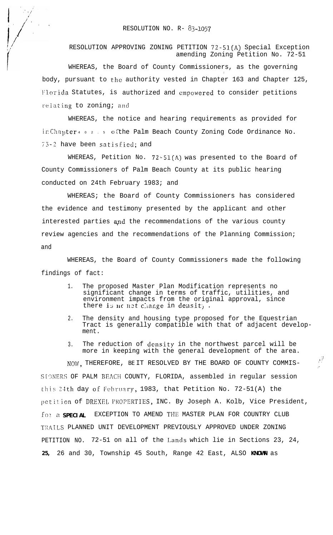RESOLUTION APPROVING ZONING PETITION 72-51(A) Special Exception amending Zoning Petition No. 72-51

WHEREAS, the Board of County Commissioners, as the governing , body, pursuant to the authority vested in Chapter 163 and Chapter 125, Florida Statutes, is authorized and empowered to consider petitions relating to zoning; and

WHEREAS, the notice and hearing requirements as provided for in Chapter  $40.2.5$  of the Palm Beach County Zoning Code Ordinance No.  $75-2$  have been satisfied; and

WHEREAS, Petition No.  $72-51(A)$  was presented to the Board of County Commissioners of Palm Beach County at its public hearing conducted on 24th February 1983; and

WHEREAS; the Board of County Commissioners has considered the evidence and testimony presented by the applicant and other interested parties and the recommendations of the various county review agencies and the recommendations of the Planning Commission; and

WHEREAS, the Board of County Commissioners made the following findings of fact:

- 1. The proposed Master Plan Modification represents no significant change in terms of traffic, utilities, and environment impacts from the original approval, since there is no net change in density.
- 2. The density and housing type proposed for the Equestrian Tract is generally compatible with that of adjacent development.

:

3. The reduction of density in the northwest parcel will be more in keeping with the general development of the area.

NOW, THEREFORE, BE IT RESOLVED BY THE BOARD OF COUNTY COMMIS-SIGNERS OF PALM BEACH COUNTY, FLORIDA, assembled in regular session this 24th day of February, 1983, that Petition No. 72-51(A) the petition of DREXEL PROPERTIES, INC. By Joseph A. Kolb, Vice President, for a **SPECIAL** EXCEPTION TO AMEND THE MASTER PLAN FOR COUNTRY CLUB TRAILS PLANNED UNIT DEVELOPMENT PREVIOUSLY APPROVED UNDER ZONING PETITION NO. 72-51 on all of the Lands which lie in Sections 23, 24, **25,** 26 and 30, Township 45 South, Range 42 East, ALSO **KNOWN** as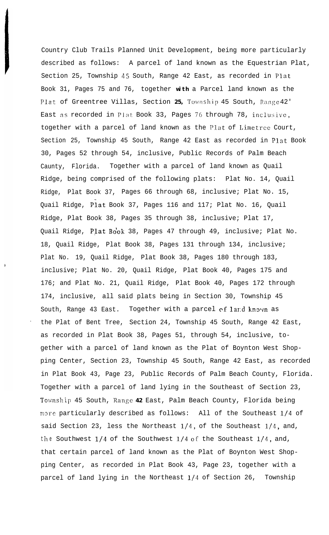Country Club Trails Planned Unit Development, being more particularly described as follows: A parcel of land known as the Equestrian Plat, Section 25, Township 45 South, Range 42 East, as recorded in Plat Book 31, Pages 75 and 76, together **with** a Parcel land known as the Plat of Greentree Villas, Section 25, Township 45 South, Range 42' East as recorded in Plat Book 33, Pages 76 through 78, inclusive, together with a parcel of land known as the PIat of Limetrce Court, Section 25, Township 45 South, Range 42 East as recorded in Plat Book 30, Pages 52 through 54, inclusive, Public Records of Palm Beach Caunty, Florida. Together with a parcel of land known as Quail Ridge, being comprised of the following plats: Plat No. 14, Quail Ridge, Plat Book 37, Pages 66 through 68, inclusive; Plat No. 15, Quail Ridge, Piat Book 37, Pages 116 and 117; Plat No. 16, Quail Ridge, Plat Book 38, Pages 35 through 38, inclusive; Plat 17, Quail Ridge, Plat Book 38, Pages 47 through 49, inclusive; Plat No. 18, Quail Ridge, Plat Book 38, Pages 131 through 134, inclusive; Plat No. 19, Quail Ridge, Plat Book 38, Pages 180 through 183, inclusive; Plat No. 20, Quail Ridge, Plat Book 40, Pages 175 and 176; and Plat No. 21, Quail Ridge, Plat Book 40, Pages 172 through 174, inclusive, all said plats being in Section 30, Township 45 South, Range 43 East. Together with a parcel of land known as . the Plat of Bent Tree, Section 24, Township 45 South, Range 42 East, as recorded in Plat Book 38, Pages 51, through 54, inclusive, together with a parcel of land known as the Plat of Boynton West Shopping Center, Section 23, Township 45 South, Range 42 East, as recorded in Plat Book 43, Page 23, Public Records of Palm Beach County, Florida. Together with a parcel of land lying in the Southeast of Section 23, Township 45 South, Range 42 East, Palm Beach County, Florida being more particularly described as follows: All of the Southeast l/4 of said Section 23, less the Northeast  $1/4$ , of the Southeast  $1/4$ , and, the Southwest  $1/4$  of the Southwest  $1/4$  of the Southeast  $1/4$ , and, that certain parcel of land known as the Plat of Boynton West Shopping Center, as recorded in Plat Book 43, Page 23, together with a parcel of land lying in the Northeast l/4 of Section 26, Township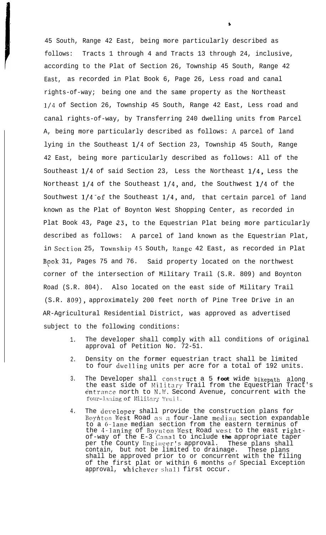45 South, Range 42 East, being more particularly described as follows: Tracts 1 through 4 and Tracts 13 through 24, inclusive, according to the Plat of Section 26, Township 45 South, Range 42 East, as recorded in Plat Book 6, Page 26, Less road and canal rights-of-way; being one and the same property as the Northeast l/4 of Section 26, Township 45 South, Range 42 East, Less road and canal rights-of-way, by Transferring 240 dwelling units from Parcel A, being more particularly described as follows: A parcel of land lying in the Southeast l/4 of Section 23, Township 45 South, Range 42 East, being more particularly described as follows: All of the Southeast l/4 of said Section 23, Less the Northeast l/4, Less the Northeast l/4 of the Southeast l/4, and, the Southwest l/4 of the Southwest 1/4 of the Southeast 1/4, and, that certain parcel of land known as the Plat of Boynton West Shopping Center, as recorded in Plat Book 43, Page 23, to the Equestrian Plat being more particularly described as follows: A parcel of land known as the Equestrian Plat, in Section 25, Township 45 South, Range 42 East, as recorded in Plat Book 31, Pages 75 and 76. Said property located on the northwest corner of the intersection of Military Trail (S.R. 809) and Boynton Road (S.R. 804). Also located on the east side of Military Trail (S.R. 809), approximately 200 feet north of Pine Tree Drive in an AR-Agricultural Residential District, was approved as advertised subject to the following conditions:

**s**

- 1. The developer shall comply with all conditions of original approval of Petition No. 72-51.
- 2. Density on the former equestrian tract shall be limited to four dwelling units per acre for a total of 192 units.
- 3. The Developer shall constrUCt a 5 **foot** wide **bikepath** along the east side of Military Trail from the Equestrian Tract's entrance north to N.W. Second Avenue, concurrent with the four-laning of Military Trail.
- 4. The developer shall provide the construction plans for Boynton West Road as a four-lane median section expandable to a 6-lane median section from the eastern terminus of the 4-laning of Boynton West Road west to the east rightof-way of the E-3 Canal to include **the** appropriate taper per the County Engineer's approval. These plans shall contain, but not be limited to drainage. These plans contain, but not be limited to drainage. shall be approved prior to or concurrent with the filing of the first plat or within 6 months OF Special Exception approval, whichever shall first occur.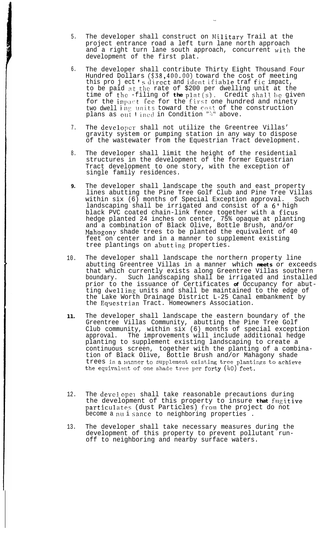- 5. The developer shall construct on Military Trail at the project entrance road a left turn lane north approach and a right turn lane south approach, concurrent with the development of the first plat.
- 6. The developer shall contribute Thirty Eight Thousand Four Hundred Dollars (\$38,400.00) toward the cost of meeting this pro j ect 's direct and identifiable traf fic impact,  $\overline{\phantom{a}}$ to be paid at the rate of \$200 per dwelling unit at the time of the -filing of **the** plat(s). Credit shall be given for the impact fee for the first one hundred and ninety two dwell ing units toward the cost of the construction plans as out  $\frac{1}{2}$  ined in Condition  $\frac{m_{1}m_{2}}{2}$  above.
- 7. The developer shall not utilize the Greentree Villas' gravity system or pumping station in any way to dispose of the wastewater from the Equestrian Tract development.
- 8. The developer shall limit the height of the residential structures in the development of the former Equestrian Tract development to one story, with the exception of single family residences.
- **9.** The developer shall landscape the south and east property lines abutting the Pine Tree Golf Club and Pine Tree Villas within six (6) months of Special Exception approval. Such landscaping shall be irrigated and consist of a 6' high black PVC coated chain-link fence together with a ficus hedge planted 24 inches on center, 75% opaque at planting and a combination of Black Olive, Bottle Brush, and/or Mahogony shade trees to be planted the equivalent of 40 feet on center and in a manner to supplement existing tree plantings on abutting properties.
- 10. The developer shall landscape the northern property line abutting Greentree Villas in a manner which **meets** or exceeds that which currently exists along Greentree Villas southern boundary. Such landscaping shall be irrigated and installed prior to the issuance of Certificates **of** Occupancy for abutting dwelling units and shall be maintained to the edge of the Lake Worth Drainage District L-25 Canal embankment by the Equestrian Tract. Homeowners Association.
- **11.** The developer shall landscape the eastern boundary of the Greentree Villas Community, abutting the Pine Tree Golf Club community, within six (6) months of special exception approval. The improvements will include additional hedge planting to supplement existing landscaping to create a continuous screen, together with the planting of a combination of Black Olive, Bottle Brush and/or Mahagony shade trees in a manner to supplement existing tree plantings to achieve the equivalent of one shade tree per forty  $(40)$  feet.
- 12. The devel oper shall take reasonable precautions during the development of this property to insure **that** fllgitive particulates (dust Particles) from the project do not become a nu i sance to neighboring properties .
- 13. The developer shall take necessary measures during the development of this property to prevent pollutant runoff to neighboring and nearby surface waters.